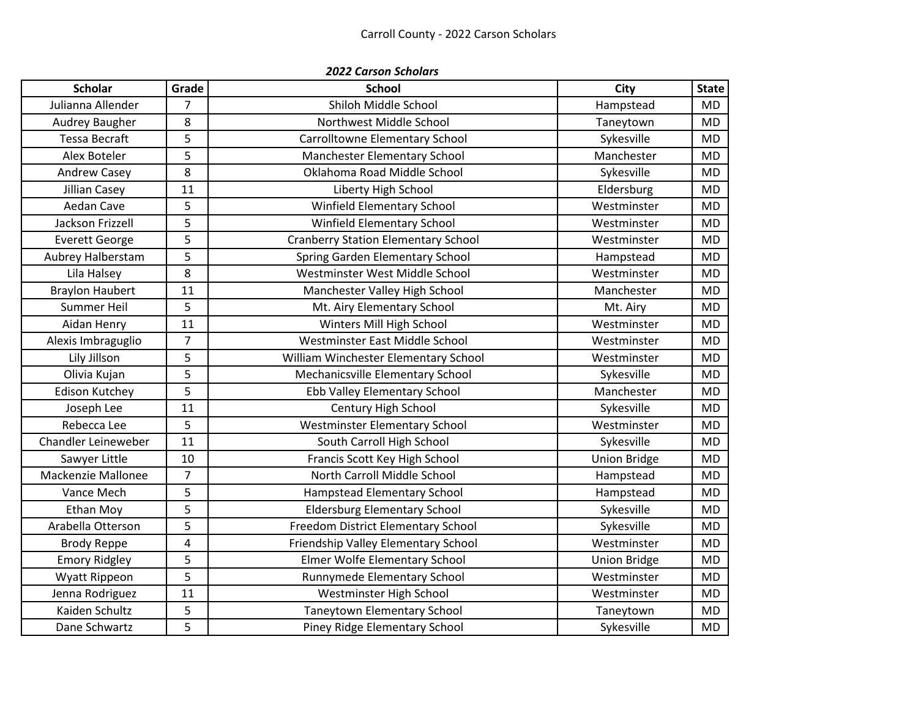| <b>2022 Carson Scholars</b> |                |                                            |                     |              |  |  |
|-----------------------------|----------------|--------------------------------------------|---------------------|--------------|--|--|
| <b>Scholar</b>              | Grade          | <b>School</b>                              | <b>City</b>         | <b>State</b> |  |  |
| Julianna Allender           | 7              | Shiloh Middle School                       | Hampstead           | <b>MD</b>    |  |  |
| Audrey Baugher              | 8              | Northwest Middle School                    | Taneytown           | <b>MD</b>    |  |  |
| <b>Tessa Becraft</b>        | 5              | Carrolltowne Elementary School             | Sykesville          | MD.          |  |  |
| Alex Boteler                | 5              | Manchester Elementary School               | Manchester          | <b>MD</b>    |  |  |
| <b>Andrew Casey</b>         | 8              | Oklahoma Road Middle School                | Sykesville          | <b>MD</b>    |  |  |
| Jillian Casey               | 11             | Liberty High School                        | Eldersburg          | <b>MD</b>    |  |  |
| Aedan Cave                  | 5              | Winfield Elementary School                 | Westminster         | <b>MD</b>    |  |  |
| Jackson Frizzell            | 5              | <b>Winfield Elementary School</b>          | Westminster         | <b>MD</b>    |  |  |
| <b>Everett George</b>       | 5              | <b>Cranberry Station Elementary School</b> | Westminster         | <b>MD</b>    |  |  |
| Aubrey Halberstam           | 5              | Spring Garden Elementary School            | Hampstead           | <b>MD</b>    |  |  |
| Lila Halsey                 | 8              | Westminster West Middle School             | Westminster         | <b>MD</b>    |  |  |
| <b>Braylon Haubert</b>      | 11             | Manchester Valley High School              | Manchester          | <b>MD</b>    |  |  |
| Summer Heil                 | 5              | Mt. Airy Elementary School                 | Mt. Airy            | <b>MD</b>    |  |  |
| Aidan Henry                 | 11             | Winters Mill High School                   | Westminster         | <b>MD</b>    |  |  |
| Alexis Imbraguglio          | 7              | Westminster East Middle School             | Westminster         | <b>MD</b>    |  |  |
| Lily Jillson                | 5              | William Winchester Elementary School       | Westminster         | <b>MD</b>    |  |  |
| Olivia Kujan                | 5              | Mechanicsville Elementary School           | Sykesville          | <b>MD</b>    |  |  |
| <b>Edison Kutchey</b>       | 5              | Ebb Valley Elementary School               | Manchester          | <b>MD</b>    |  |  |
| Joseph Lee                  | 11             | Century High School                        | Sykesville          | <b>MD</b>    |  |  |
| Rebecca Lee                 | 5              | <b>Westminster Elementary School</b>       | Westminster         | MD           |  |  |
| Chandler Leineweber         | 11             | South Carroll High School                  | Sykesville          | <b>MD</b>    |  |  |
| Sawyer Little               | 10             | Francis Scott Key High School              | <b>Union Bridge</b> | <b>MD</b>    |  |  |
| Mackenzie Mallonee          | $\overline{7}$ | North Carroll Middle School                | Hampstead           | <b>MD</b>    |  |  |
| Vance Mech                  | 5              | Hampstead Elementary School                | Hampstead           | <b>MD</b>    |  |  |
| Ethan Moy                   | 5              | <b>Eldersburg Elementary School</b>        | Sykesville          | <b>MD</b>    |  |  |
| Arabella Otterson           | 5              | Freedom District Elementary School         | Sykesville          | <b>MD</b>    |  |  |
| <b>Brody Reppe</b>          | 4              | Friendship Valley Elementary School        | Westminster         | <b>MD</b>    |  |  |
| <b>Emory Ridgley</b>        | 5              | Elmer Wolfe Elementary School              | <b>Union Bridge</b> | <b>MD</b>    |  |  |
| Wyatt Rippeon               | 5              | Runnymede Elementary School                | Westminster         | MD.          |  |  |
| Jenna Rodriguez             | 11             | Westminster High School                    | Westminster         | <b>MD</b>    |  |  |
| Kaiden Schultz              | 5              | <b>Taneytown Elementary School</b>         | Taneytown           | <b>MD</b>    |  |  |
| Dane Schwartz               | 5              | Piney Ridge Elementary School              | Sykesville          | <b>MD</b>    |  |  |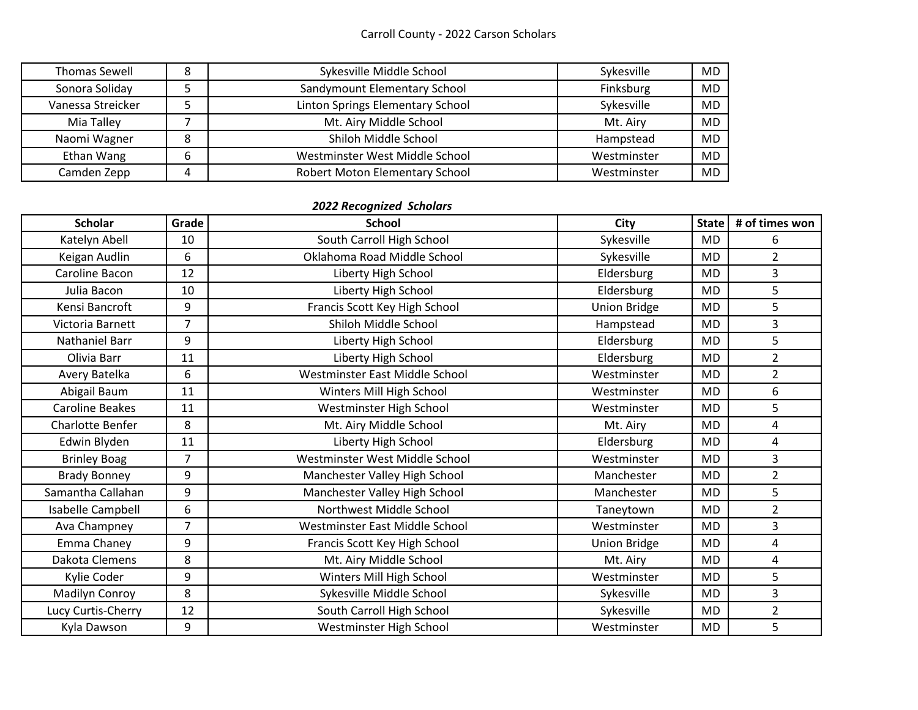## Carroll County - 2022 Carson Scholars

| <b>Thomas Sewell</b> |   | Sykesville Middle School         | Sykesville  | MD        |
|----------------------|---|----------------------------------|-------------|-----------|
| Sonora Soliday       |   | Sandymount Elementary School     | Finksburg   | MD        |
| Vanessa Streicker    |   | Linton Springs Elementary School | Sykesville  | MD        |
| Mia Talley           |   | Mt. Airy Middle School           | Mt. Airy    | <b>MD</b> |
| Naomi Wagner         |   | Shiloh Middle School             | Hampstead   | <b>MD</b> |
| Ethan Wang           | 6 | Westminster West Middle School   | Westminster | MD        |
| Camden Zepp          | 4 | Robert Moton Elementary School   | Westminster | <b>MD</b> |

## *2022 Recognized Scholars*

| <b>Scholar</b>         | Grade | <b>School</b>                  | <b>City</b>         | <b>State</b> | # of times won |
|------------------------|-------|--------------------------------|---------------------|--------------|----------------|
| Katelyn Abell          | 10    | South Carroll High School      | Sykesville          | <b>MD</b>    | 6              |
| Keigan Audlin          | 6     | Oklahoma Road Middle School    | Sykesville          | <b>MD</b>    | $\overline{2}$ |
| Caroline Bacon         | 12    | Liberty High School            | Eldersburg          | <b>MD</b>    | 3              |
| Julia Bacon            | 10    | Liberty High School            | Eldersburg          | <b>MD</b>    | 5              |
| Kensi Bancroft         | 9     | Francis Scott Key High School  | <b>Union Bridge</b> | <b>MD</b>    | 5              |
| Victoria Barnett       | 7     | Shiloh Middle School           | Hampstead           | <b>MD</b>    | 3              |
| Nathaniel Barr         | 9     | Liberty High School            | Eldersburg          | <b>MD</b>    | 5              |
| Olivia Barr            | 11    | Liberty High School            | Eldersburg          | <b>MD</b>    | $\overline{2}$ |
| Avery Batelka          | 6     | Westminster East Middle School | Westminster         | <b>MD</b>    | $\overline{2}$ |
| Abigail Baum           | 11    | Winters Mill High School       | Westminster         | <b>MD</b>    | 6              |
| <b>Caroline Beakes</b> | 11    | Westminster High School        | Westminster         | <b>MD</b>    | 5              |
| Charlotte Benfer       | 8     | Mt. Airy Middle School         | Mt. Airy            | <b>MD</b>    | 4              |
| Edwin Blyden           | 11    | Liberty High School            | Eldersburg          | <b>MD</b>    | 4              |
| <b>Brinley Boag</b>    | 7     | Westminster West Middle School | Westminster         | <b>MD</b>    | 3              |
| <b>Brady Bonney</b>    | 9     | Manchester Valley High School  | Manchester          | <b>MD</b>    | $\overline{2}$ |
| Samantha Callahan      | 9     | Manchester Valley High School  | Manchester          | <b>MD</b>    | 5              |
| Isabelle Campbell      | 6     | Northwest Middle School        | Taneytown           | <b>MD</b>    | $\overline{2}$ |
| Ava Champney           | 7     | Westminster East Middle School | Westminster         | <b>MD</b>    | 3              |
| Emma Chaney            | 9     | Francis Scott Key High School  | <b>Union Bridge</b> | <b>MD</b>    | 4              |
| Dakota Clemens         | 8     | Mt. Airy Middle School         | Mt. Airy            | <b>MD</b>    | 4              |
| Kylie Coder            | 9     | Winters Mill High School       | Westminster         | <b>MD</b>    | 5              |
| Madilyn Conroy         | 8     | Sykesville Middle School       | Sykesville          | <b>MD</b>    | 3              |
| Lucy Curtis-Cherry     | 12    | South Carroll High School      | Sykesville          | <b>MD</b>    | $\overline{2}$ |
| Kyla Dawson            | 9     | Westminster High School        | Westminster         | <b>MD</b>    | 5              |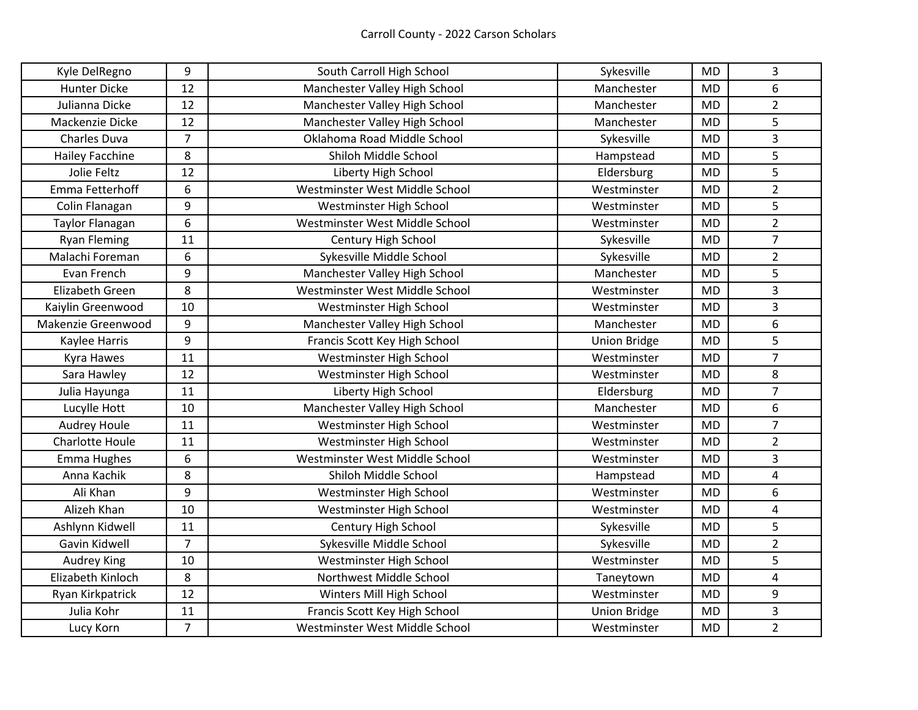| Kyle DelRegno          | 9              | South Carroll High School      | Sykesville          | <b>MD</b> | 3              |
|------------------------|----------------|--------------------------------|---------------------|-----------|----------------|
| <b>Hunter Dicke</b>    | 12             | Manchester Valley High School  | Manchester          | <b>MD</b> | 6              |
| Julianna Dicke         | 12             | Manchester Valley High School  | Manchester          | <b>MD</b> | $\overline{2}$ |
| Mackenzie Dicke        | 12             | Manchester Valley High School  | Manchester          | <b>MD</b> | 5              |
| Charles Duva           | $\overline{7}$ | Oklahoma Road Middle School    | Sykesville          | <b>MD</b> | $\mathsf{3}$   |
| <b>Hailey Facchine</b> | 8              | Shiloh Middle School           | Hampstead           | <b>MD</b> | 5              |
| Jolie Feltz            | 12             | Liberty High School            | Eldersburg          | <b>MD</b> | 5              |
| Emma Fetterhoff        | 6              | Westminster West Middle School | Westminster         | <b>MD</b> | $\overline{2}$ |
| Colin Flanagan         | 9              | Westminster High School        | Westminster         | <b>MD</b> | 5              |
| Taylor Flanagan        | 6              | Westminster West Middle School | Westminster         | <b>MD</b> | $\overline{2}$ |
| <b>Ryan Fleming</b>    | 11             | Century High School            | Sykesville          | <b>MD</b> | $\overline{7}$ |
| Malachi Foreman        | 6              | Sykesville Middle School       | Sykesville          | <b>MD</b> | $\overline{2}$ |
| Evan French            | 9              | Manchester Valley High School  | Manchester          | <b>MD</b> | 5              |
| Elizabeth Green        | 8              | Westminster West Middle School | Westminster         | MD        | $\overline{3}$ |
| Kaiylin Greenwood      | 10             | Westminster High School        | Westminster         | <b>MD</b> | 3              |
| Makenzie Greenwood     | 9              | Manchester Valley High School  | Manchester          | <b>MD</b> | 6              |
| Kaylee Harris          | 9              | Francis Scott Key High School  | <b>Union Bridge</b> | <b>MD</b> | 5              |
| Kyra Hawes             | 11             | Westminster High School        | Westminster         | <b>MD</b> | $\overline{7}$ |
| Sara Hawley            | 12             | Westminster High School        | Westminster         | <b>MD</b> | 8              |
| Julia Hayunga          | 11             | Liberty High School            | Eldersburg          | <b>MD</b> | $\overline{7}$ |
| Lucylle Hott           | 10             | Manchester Valley High School  | Manchester          | <b>MD</b> | 6              |
| Audrey Houle           | 11             | Westminster High School        | Westminster         | <b>MD</b> | $\overline{7}$ |
| <b>Charlotte Houle</b> | 11             | Westminster High School        | Westminster         | <b>MD</b> | $\overline{2}$ |
| <b>Emma Hughes</b>     | 6              | Westminster West Middle School | Westminster         | <b>MD</b> | 3              |
| Anna Kachik            | 8              | Shiloh Middle School           | Hampstead           | <b>MD</b> | $\sqrt{4}$     |
| Ali Khan               | 9              | Westminster High School        | Westminster         | <b>MD</b> | 6              |
| Alizeh Khan            | 10             | Westminster High School        | Westminster         | <b>MD</b> | $\sqrt{4}$     |
| Ashlynn Kidwell        | 11             | Century High School            | Sykesville          | <b>MD</b> | 5              |
| Gavin Kidwell          | $\overline{7}$ | Sykesville Middle School       | Sykesville          | <b>MD</b> | $\overline{2}$ |
| Audrey King            | 10             | Westminster High School        | Westminster         | <b>MD</b> | 5              |
| Elizabeth Kinloch      | 8              | Northwest Middle School        | Taneytown           | <b>MD</b> | $\overline{4}$ |
| Ryan Kirkpatrick       | 12             | Winters Mill High School       | Westminster         | <b>MD</b> | 9              |
| Julia Kohr             | 11             | Francis Scott Key High School  | <b>Union Bridge</b> | <b>MD</b> | 3              |
| Lucy Korn              | $\overline{7}$ | Westminster West Middle School | Westminster         | <b>MD</b> | $\overline{2}$ |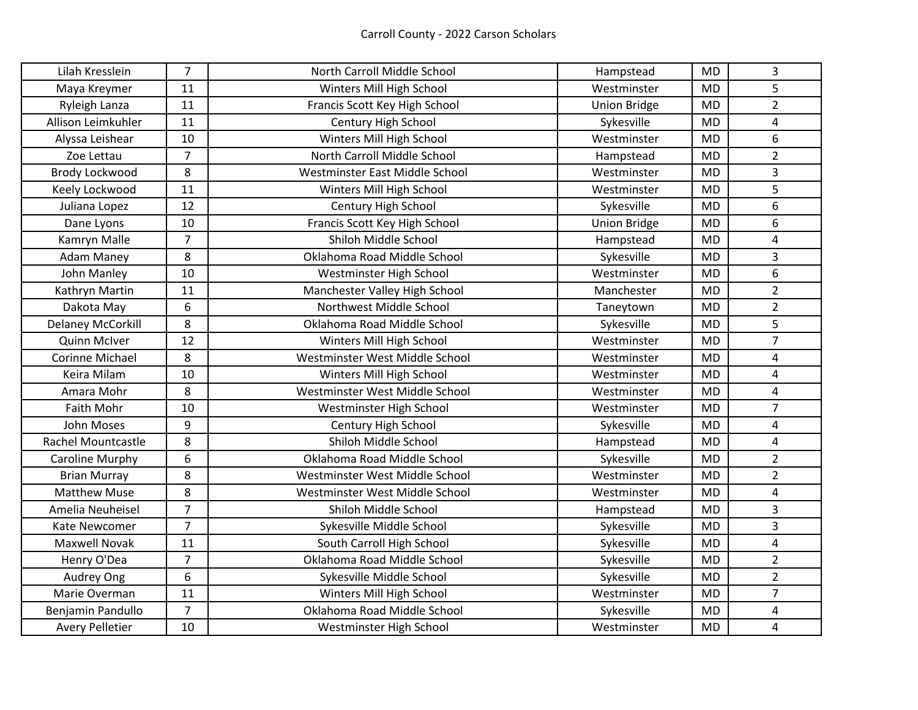| Lilah Kresslein          | $\overline{7}$ | North Carroll Middle School    | Hampstead           | <b>MD</b> | 3              |
|--------------------------|----------------|--------------------------------|---------------------|-----------|----------------|
| Maya Kreymer             | 11             | Winters Mill High School       | Westminster         | <b>MD</b> | 5              |
| Ryleigh Lanza            | 11             | Francis Scott Key High School  | <b>Union Bridge</b> | <b>MD</b> | $\overline{2}$ |
| Allison Leimkuhler       | 11             | Century High School            | Sykesville          | <b>MD</b> | 4              |
| Alyssa Leishear          | 10             | Winters Mill High School       | Westminster         | <b>MD</b> | 6              |
| Zoe Lettau               | $\overline{7}$ | North Carroll Middle School    | Hampstead           | <b>MD</b> | $\overline{2}$ |
| Brody Lockwood           | 8              | Westminster East Middle School | Westminster         | <b>MD</b> | 3              |
| Keely Lockwood           | 11             | Winters Mill High School       | Westminster         | <b>MD</b> | 5              |
| Juliana Lopez            | 12             | Century High School            | Sykesville          | <b>MD</b> | 6              |
| Dane Lyons               | 10             | Francis Scott Key High School  | <b>Union Bridge</b> | <b>MD</b> | 6              |
| Kamryn Malle             | $\overline{7}$ | Shiloh Middle School           | Hampstead           | <b>MD</b> | $\sqrt{4}$     |
| <b>Adam Maney</b>        | 8              | Oklahoma Road Middle School    | Sykesville          | <b>MD</b> | 3              |
| John Manley              | 10             | Westminster High School        | Westminster         | <b>MD</b> | 6              |
| Kathryn Martin           | 11             | Manchester Valley High School  | Manchester          | <b>MD</b> | $\overline{2}$ |
| Dakota May               | 6              | Northwest Middle School        | Taneytown           | <b>MD</b> | $\overline{2}$ |
| <b>Delaney McCorkill</b> | 8              | Oklahoma Road Middle School    | Sykesville          | <b>MD</b> | 5              |
| Quinn McIver             | 12             | Winters Mill High School       | Westminster         | <b>MD</b> | $\overline{7}$ |
| <b>Corinne Michael</b>   | 8              | Westminster West Middle School | Westminster         | <b>MD</b> | $\pmb{4}$      |
| Keira Milam              | 10             | Winters Mill High School       | Westminster         | <b>MD</b> | $\overline{4}$ |
| Amara Mohr               | 8              | Westminster West Middle School | Westminster         | <b>MD</b> | $\overline{4}$ |
| Faith Mohr               | 10             | Westminster High School        | Westminster         | <b>MD</b> | $\overline{7}$ |
| <b>John Moses</b>        | 9              | Century High School            | Sykesville          | <b>MD</b> | $\sqrt{4}$     |
| Rachel Mountcastle       | 8              | Shiloh Middle School           | Hampstead           | <b>MD</b> | $\overline{4}$ |
| Caroline Murphy          | 6              | Oklahoma Road Middle School    | Sykesville          | <b>MD</b> | $\overline{2}$ |
| <b>Brian Murray</b>      | 8              | Westminster West Middle School | Westminster         | <b>MD</b> | $\overline{2}$ |
| <b>Matthew Muse</b>      | 8              | Westminster West Middle School | Westminster         | <b>MD</b> | $\overline{4}$ |
| Amelia Neuheisel         | $\overline{7}$ | Shiloh Middle School           | Hampstead           | <b>MD</b> | $\mathsf{3}$   |
| Kate Newcomer            | $\overline{7}$ | Sykesville Middle School       | Sykesville          | <b>MD</b> | 3              |
| <b>Maxwell Novak</b>     | 11             | South Carroll High School      | Sykesville          | <b>MD</b> | $\overline{4}$ |
| Henry O'Dea              | $\overline{7}$ | Oklahoma Road Middle School    | Sykesville          | <b>MD</b> | $\overline{2}$ |
| Audrey Ong               | 6              | Sykesville Middle School       | Sykesville          | <b>MD</b> | $\overline{2}$ |
| Marie Overman            | 11             | Winters Mill High School       | Westminster         | <b>MD</b> | $\overline{7}$ |
| Benjamin Pandullo        | 7              | Oklahoma Road Middle School    | Sykesville          | <b>MD</b> | 4              |
| <b>Avery Pelletier</b>   | 10             | Westminster High School        | Westminster         | <b>MD</b> | 4              |